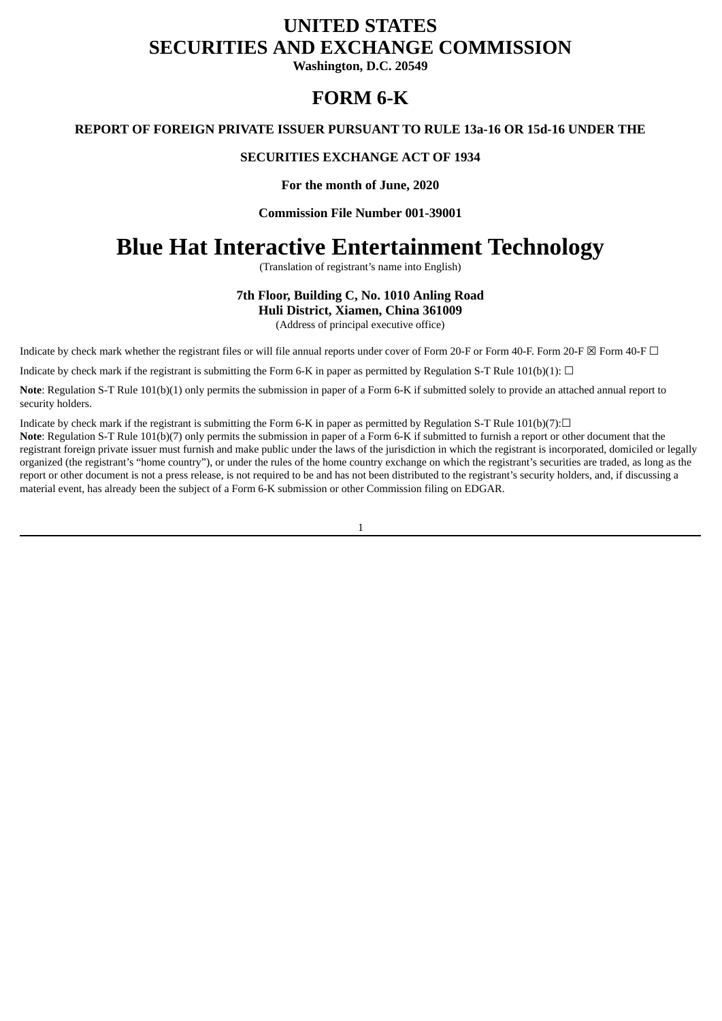# **UNITED STATES SECURITIES AND EXCHANGE COMMISSION**

**Washington, D.C. 20549**

# **FORM 6-K**

**REPORT OF FOREIGN PRIVATE ISSUER PURSUANT TO RULE 13a-16 OR 15d-16 UNDER THE**

### **SECURITIES EXCHANGE ACT OF 1934**

**For the month of June, 2020**

**Commission File Number 001-39001**

# **Blue Hat Interactive Entertainment Technology**

(Translation of registrant's name into English)

## **7th Floor, Building C, No. 1010 Anling Road Huli District, Xiamen, China 361009**

(Address of principal executive office)

Indicate by check mark whether the registrant files or will file annual reports under cover of Form 20-F or Form 40-F. Form 20-F  $\boxtimes$  Form 40-F  $\Box$ 

Indicate by check mark if the registrant is submitting the Form 6-K in paper as permitted by Regulation S-T Rule 101(b)(1):  $\Box$ 

**Note**: Regulation S-T Rule 101(b)(1) only permits the submission in paper of a Form 6-K if submitted solely to provide an attached annual report to security holders.

Indicate by check mark if the registrant is submitting the Form 6-K in paper as permitted by Regulation S-T Rule 101(b)(7): $\Box$ 

**Note**: Regulation S-T Rule 101(b)(7) only permits the submission in paper of a Form 6-K if submitted to furnish a report or other document that the registrant foreign private issuer must furnish and make public under the laws of the jurisdiction in which the registrant is incorporated, domiciled or legally organized (the registrant's "home country"), or under the rules of the home country exchange on which the registrant's securities are traded, as long as the report or other document is not a press release, is not required to be and has not been distributed to the registrant's security holders, and, if discussing a material event, has already been the subject of a Form 6-K submission or other Commission filing on EDGAR.

1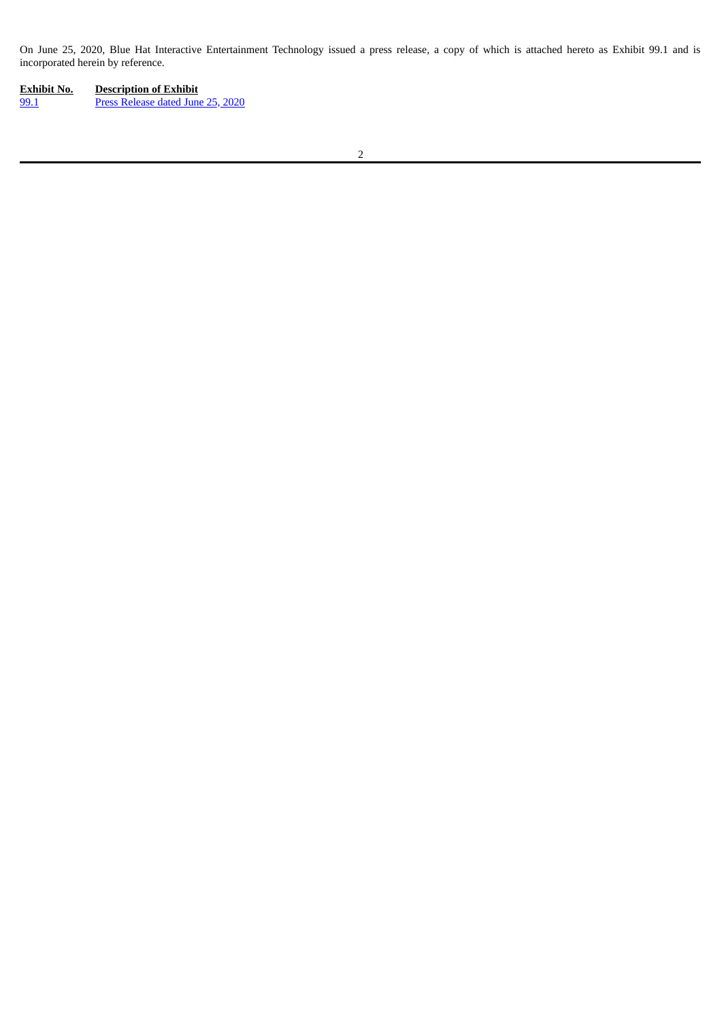On June 25, 2020, Blue Hat Interactive Entertainment Technology issued a press release, a copy of which is attached hereto as Exhibit 99.1 and is incorporated herein by reference.

| Exhibit No. | <b>Description of Exhibit</b>     |
|-------------|-----------------------------------|
| 99.1        | Press Release dated June 25, 2020 |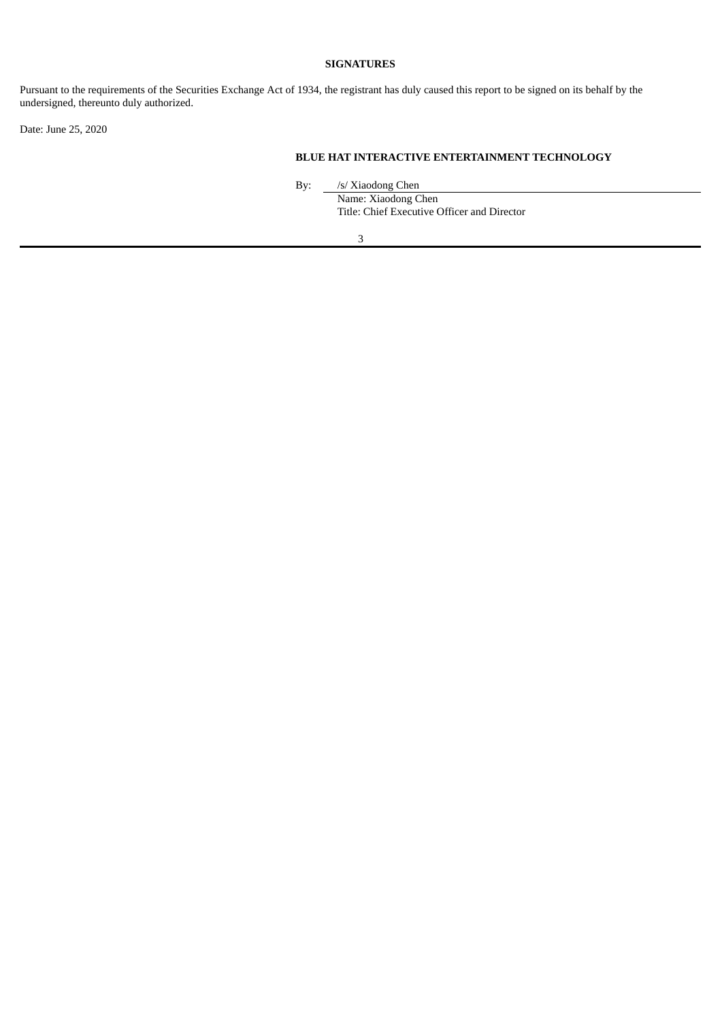## **SIGNATURES**

Pursuant to the requirements of the Securities Exchange Act of 1934, the registrant has duly caused this report to be signed on its behalf by the undersigned, thereunto duly authorized.

Date: June 25, 2020

#### **BLUE HAT INTERACTIVE ENTERTAINMENT TECHNOLOGY**

By: /s/ Xiaodong Chen

Name: Xiaodong Chen Title: Chief Executive Officer and Director

3